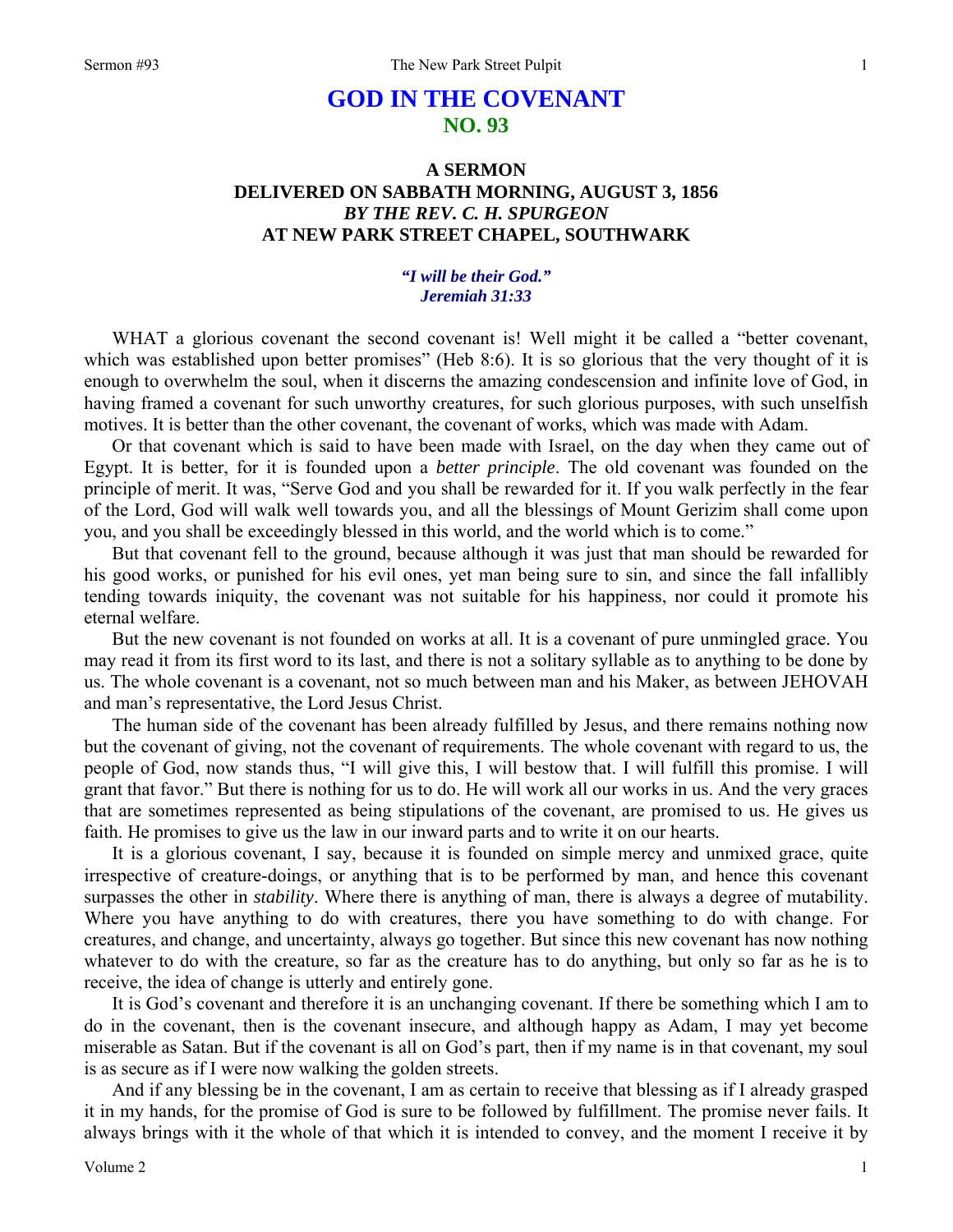# **GOD IN THE COVENANT NO. 93**

## **A SERMON DELIVERED ON SABBATH MORNING, AUGUST 3, 1856**  *BY THE REV. C. H. SPURGEON*  **AT NEW PARK STREET CHAPEL, SOUTHWARK**

### *"I will be their God." Jeremiah 31:33*

WHAT a glorious covenant the second covenant is! Well might it be called a "better covenant, which was established upon better promises" (Heb 8:6). It is so glorious that the very thought of it is enough to overwhelm the soul, when it discerns the amazing condescension and infinite love of God, in having framed a covenant for such unworthy creatures, for such glorious purposes, with such unselfish motives. It is better than the other covenant, the covenant of works, which was made with Adam.

Or that covenant which is said to have been made with Israel, on the day when they came out of Egypt. It is better, for it is founded upon a *better principle*. The old covenant was founded on the principle of merit. It was, "Serve God and you shall be rewarded for it. If you walk perfectly in the fear of the Lord, God will walk well towards you, and all the blessings of Mount Gerizim shall come upon you, and you shall be exceedingly blessed in this world, and the world which is to come."

But that covenant fell to the ground, because although it was just that man should be rewarded for his good works, or punished for his evil ones, yet man being sure to sin, and since the fall infallibly tending towards iniquity, the covenant was not suitable for his happiness, nor could it promote his eternal welfare.

But the new covenant is not founded on works at all. It is a covenant of pure unmingled grace. You may read it from its first word to its last, and there is not a solitary syllable as to anything to be done by us. The whole covenant is a covenant, not so much between man and his Maker, as between JEHOVAH and man's representative, the Lord Jesus Christ.

The human side of the covenant has been already fulfilled by Jesus, and there remains nothing now but the covenant of giving, not the covenant of requirements. The whole covenant with regard to us, the people of God, now stands thus, "I will give this, I will bestow that. I will fulfill this promise. I will grant that favor." But there is nothing for us to do. He will work all our works in us. And the very graces that are sometimes represented as being stipulations of the covenant, are promised to us. He gives us faith. He promises to give us the law in our inward parts and to write it on our hearts.

It is a glorious covenant, I say, because it is founded on simple mercy and unmixed grace, quite irrespective of creature-doings, or anything that is to be performed by man, and hence this covenant surpasses the other in *stability*. Where there is anything of man, there is always a degree of mutability. Where you have anything to do with creatures, there you have something to do with change. For creatures, and change, and uncertainty, always go together. But since this new covenant has now nothing whatever to do with the creature, so far as the creature has to do anything, but only so far as he is to receive, the idea of change is utterly and entirely gone.

It is God's covenant and therefore it is an unchanging covenant. If there be something which I am to do in the covenant, then is the covenant insecure, and although happy as Adam, I may yet become miserable as Satan. But if the covenant is all on God's part, then if my name is in that covenant, my soul is as secure as if I were now walking the golden streets.

And if any blessing be in the covenant, I am as certain to receive that blessing as if I already grasped it in my hands, for the promise of God is sure to be followed by fulfillment. The promise never fails. It always brings with it the whole of that which it is intended to convey, and the moment I receive it by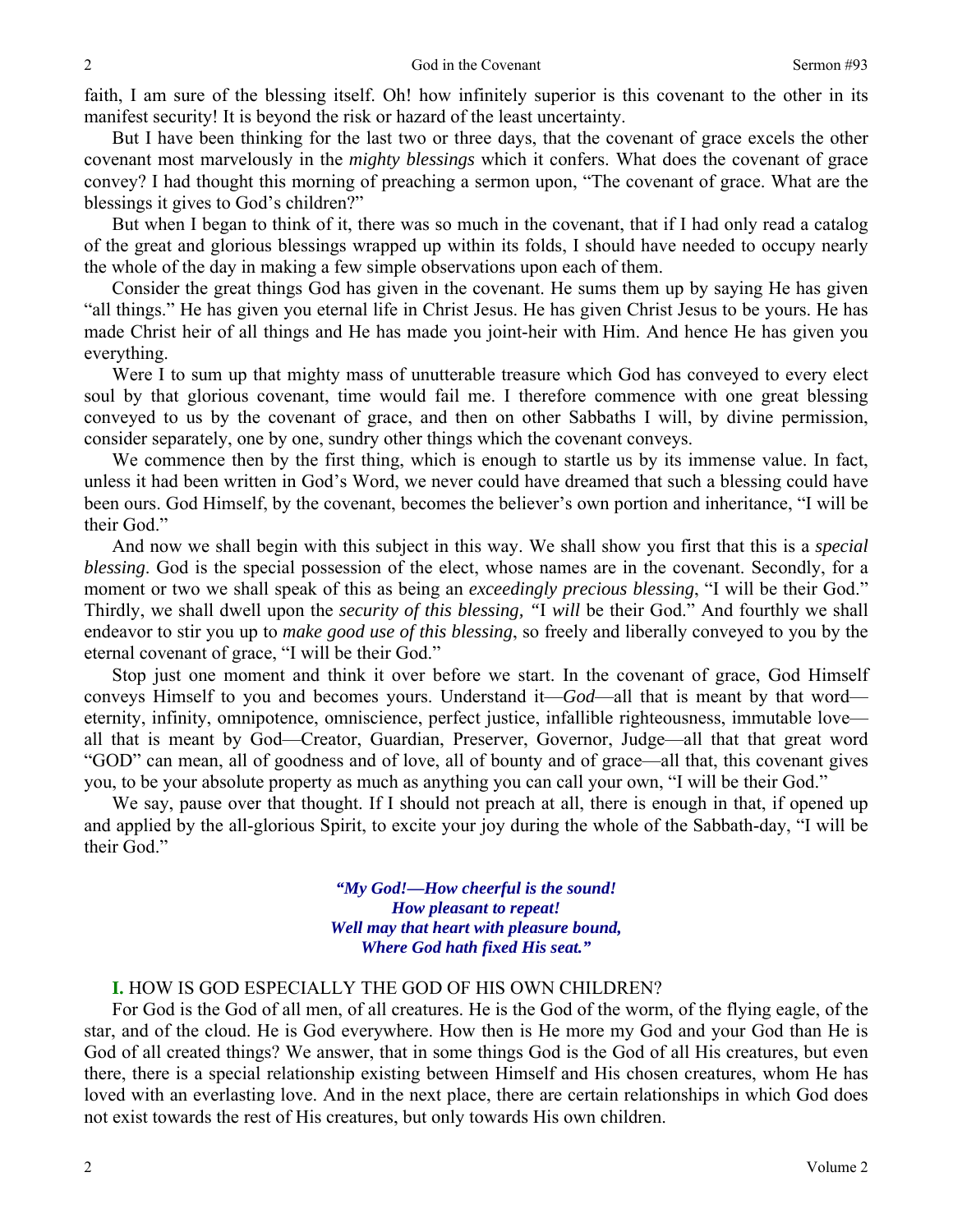faith, I am sure of the blessing itself. Oh! how infinitely superior is this covenant to the other in its manifest security! It is beyond the risk or hazard of the least uncertainty.

But I have been thinking for the last two or three days, that the covenant of grace excels the other covenant most marvelously in the *mighty blessings* which it confers. What does the covenant of grace convey? I had thought this morning of preaching a sermon upon, "The covenant of grace. What are the blessings it gives to God's children?"

But when I began to think of it, there was so much in the covenant, that if I had only read a catalog of the great and glorious blessings wrapped up within its folds, I should have needed to occupy nearly the whole of the day in making a few simple observations upon each of them.

Consider the great things God has given in the covenant. He sums them up by saying He has given "all things." He has given you eternal life in Christ Jesus. He has given Christ Jesus to be yours. He has made Christ heir of all things and He has made you joint-heir with Him. And hence He has given you everything.

Were I to sum up that mighty mass of unutterable treasure which God has conveyed to every elect soul by that glorious covenant, time would fail me. I therefore commence with one great blessing conveyed to us by the covenant of grace, and then on other Sabbaths I will, by divine permission, consider separately, one by one, sundry other things which the covenant conveys.

We commence then by the first thing, which is enough to startle us by its immense value. In fact, unless it had been written in God's Word, we never could have dreamed that such a blessing could have been ours. God Himself, by the covenant, becomes the believer's own portion and inheritance, "I will be their God."

And now we shall begin with this subject in this way. We shall show you first that this is a *special blessing*. God is the special possession of the elect, whose names are in the covenant. Secondly, for a moment or two we shall speak of this as being an *exceedingly precious blessing*, "I will be their God." Thirdly, we shall dwell upon the *security of this blessing, "*I *will* be their God." And fourthly we shall endeavor to stir you up to *make good use of this blessing*, so freely and liberally conveyed to you by the eternal covenant of grace, "I will be their God."

Stop just one moment and think it over before we start. In the covenant of grace, God Himself conveys Himself to you and becomes yours. Understand it—*God*—all that is meant by that word eternity, infinity, omnipotence, omniscience, perfect justice, infallible righteousness, immutable love all that is meant by God—Creator, Guardian, Preserver, Governor, Judge—all that that great word "GOD" can mean, all of goodness and of love, all of bounty and of grace—all that, this covenant gives you, to be your absolute property as much as anything you can call your own, "I will be their God."

We say, pause over that thought. If I should not preach at all, there is enough in that, if opened up and applied by the all-glorious Spirit, to excite your joy during the whole of the Sabbath-day, "I will be their God."

> *"My God!—How cheerful is the sound! How pleasant to repeat! Well may that heart with pleasure bound, Where God hath fixed His seat."*

### **I.** HOW IS GOD ESPECIALLY THE GOD OF HIS OWN CHILDREN?

For God is the God of all men, of all creatures. He is the God of the worm, of the flying eagle, of the star, and of the cloud. He is God everywhere. How then is He more my God and your God than He is God of all created things? We answer, that in some things God is the God of all His creatures, but even there, there is a special relationship existing between Himself and His chosen creatures, whom He has loved with an everlasting love. And in the next place, there are certain relationships in which God does not exist towards the rest of His creatures, but only towards His own children.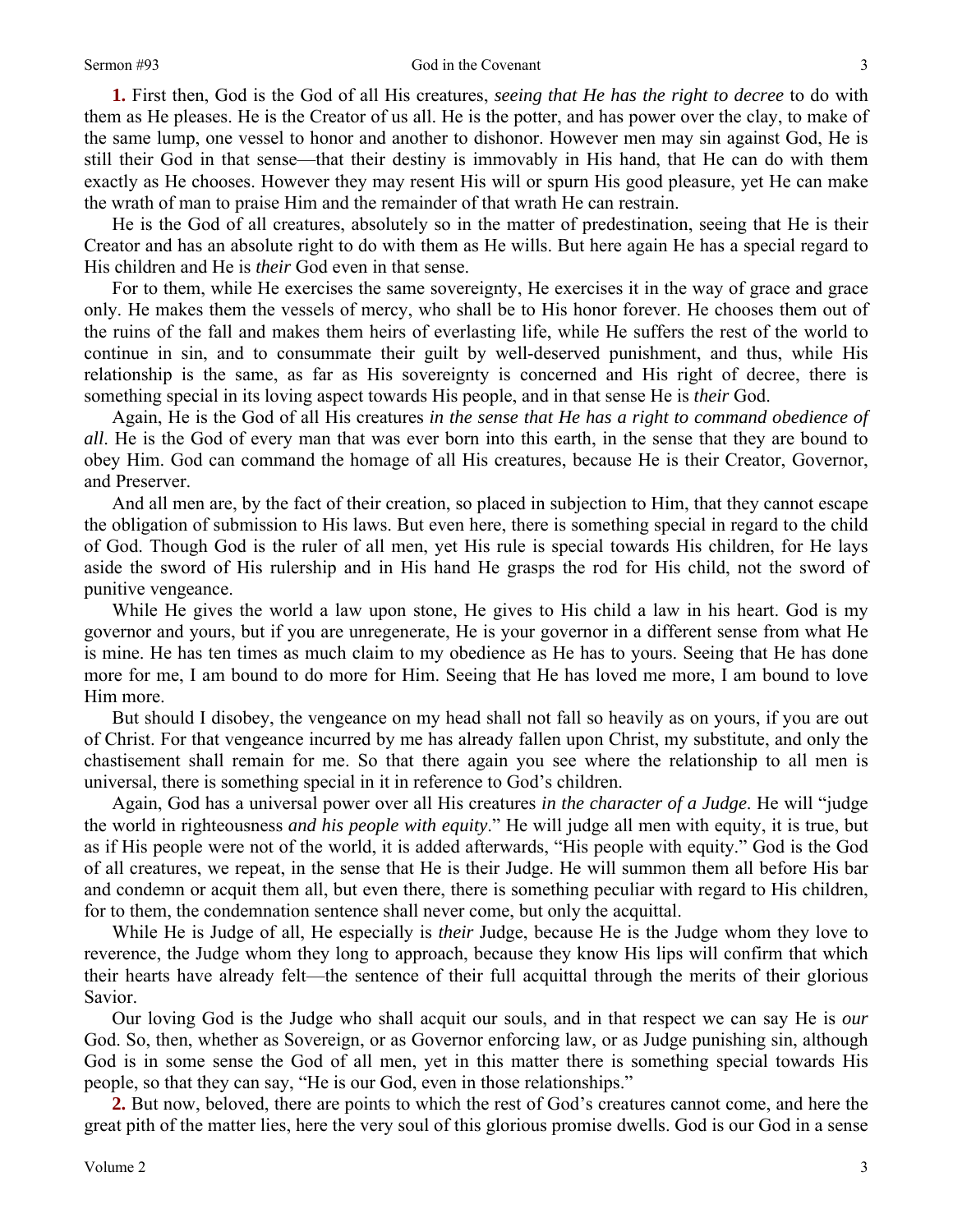**1.** First then, God is the God of all His creatures, *seeing that He has the right to decree* to do with them as He pleases. He is the Creator of us all. He is the potter, and has power over the clay, to make of the same lump, one vessel to honor and another to dishonor. However men may sin against God, He is still their God in that sense—that their destiny is immovably in His hand, that He can do with them exactly as He chooses. However they may resent His will or spurn His good pleasure, yet He can make the wrath of man to praise Him and the remainder of that wrath He can restrain.

He is the God of all creatures, absolutely so in the matter of predestination, seeing that He is their Creator and has an absolute right to do with them as He wills. But here again He has a special regard to His children and He is *their* God even in that sense.

For to them, while He exercises the same sovereignty, He exercises it in the way of grace and grace only. He makes them the vessels of mercy, who shall be to His honor forever. He chooses them out of the ruins of the fall and makes them heirs of everlasting life, while He suffers the rest of the world to continue in sin, and to consummate their guilt by well-deserved punishment, and thus, while His relationship is the same, as far as His sovereignty is concerned and His right of decree, there is something special in its loving aspect towards His people, and in that sense He is *their* God.

Again, He is the God of all His creatures *in the sense that He has a right to command obedience of all*. He is the God of every man that was ever born into this earth, in the sense that they are bound to obey Him. God can command the homage of all His creatures, because He is their Creator, Governor, and Preserver.

And all men are, by the fact of their creation, so placed in subjection to Him, that they cannot escape the obligation of submission to His laws. But even here, there is something special in regard to the child of God. Though God is the ruler of all men, yet His rule is special towards His children, for He lays aside the sword of His rulership and in His hand He grasps the rod for His child, not the sword of punitive vengeance.

While He gives the world a law upon stone, He gives to His child a law in his heart. God is my governor and yours, but if you are unregenerate, He is your governor in a different sense from what He is mine. He has ten times as much claim to my obedience as He has to yours. Seeing that He has done more for me, I am bound to do more for Him. Seeing that He has loved me more, I am bound to love Him more.

But should I disobey, the vengeance on my head shall not fall so heavily as on yours, if you are out of Christ. For that vengeance incurred by me has already fallen upon Christ, my substitute, and only the chastisement shall remain for me. So that there again you see where the relationship to all men is universal, there is something special in it in reference to God's children.

Again, God has a universal power over all His creatures *in the character of a Judge*. He will "judge the world in righteousness *and his people with equity*." He will judge all men with equity, it is true, but as if His people were not of the world, it is added afterwards, "His people with equity." God is the God of all creatures, we repeat, in the sense that He is their Judge. He will summon them all before His bar and condemn or acquit them all, but even there, there is something peculiar with regard to His children, for to them, the condemnation sentence shall never come, but only the acquittal.

While He is Judge of all, He especially is *their* Judge, because He is the Judge whom they love to reverence, the Judge whom they long to approach, because they know His lips will confirm that which their hearts have already felt—the sentence of their full acquittal through the merits of their glorious Savior.

Our loving God is the Judge who shall acquit our souls, and in that respect we can say He is *our*  God. So, then, whether as Sovereign, or as Governor enforcing law, or as Judge punishing sin, although God is in some sense the God of all men, yet in this matter there is something special towards His people, so that they can say, "He is our God, even in those relationships."

**2.** But now, beloved, there are points to which the rest of God's creatures cannot come, and here the great pith of the matter lies, here the very soul of this glorious promise dwells. God is our God in a sense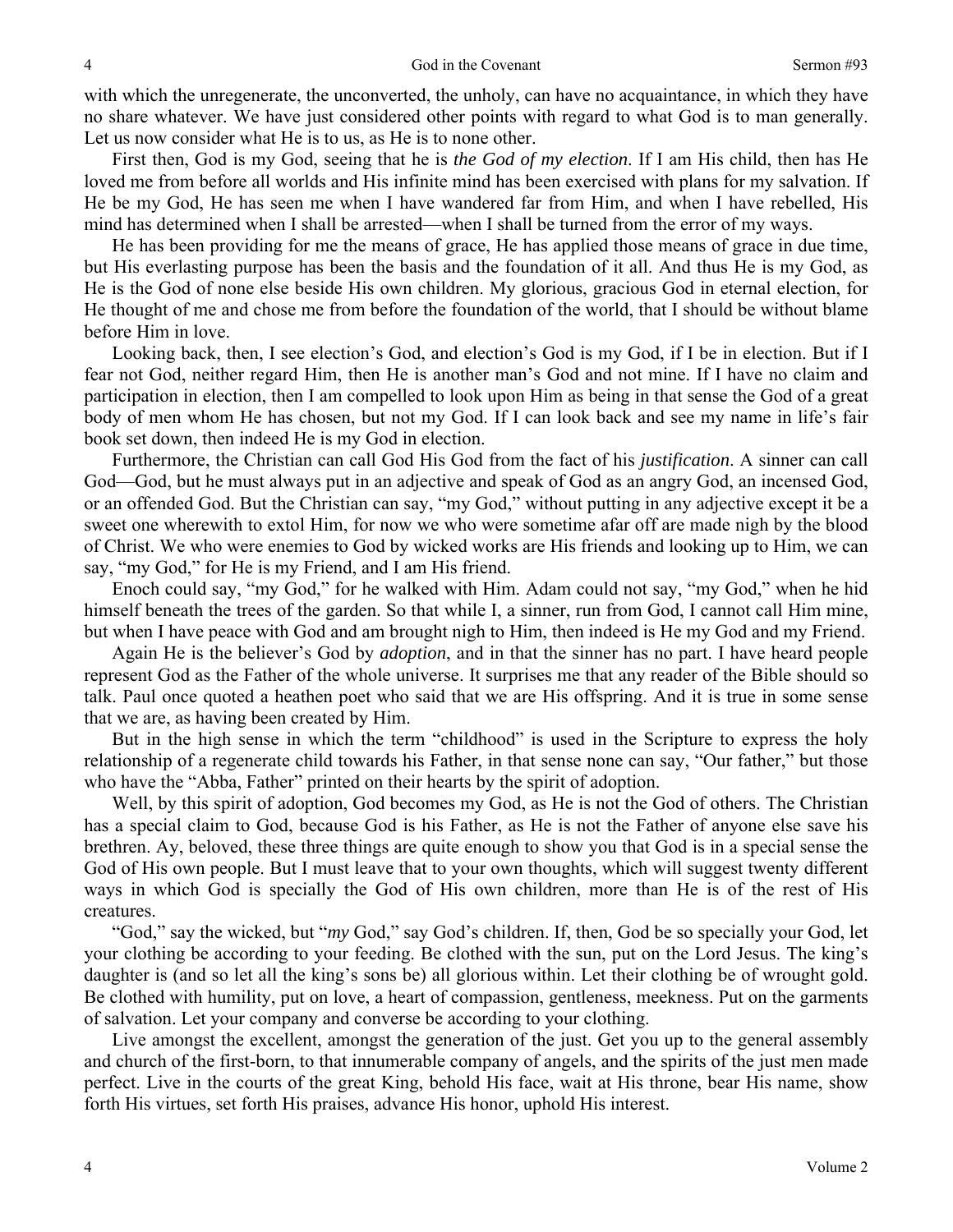with which the unregenerate, the unconverted, the unholy, can have no acquaintance, in which they have no share whatever. We have just considered other points with regard to what God is to man generally. Let us now consider what He is to us, as He is to none other.

First then, God is my God, seeing that he is *the God of my election*. If I am His child, then has He loved me from before all worlds and His infinite mind has been exercised with plans for my salvation. If He be my God, He has seen me when I have wandered far from Him, and when I have rebelled, His mind has determined when I shall be arrested—when I shall be turned from the error of my ways.

He has been providing for me the means of grace, He has applied those means of grace in due time, but His everlasting purpose has been the basis and the foundation of it all. And thus He is my God, as He is the God of none else beside His own children. My glorious, gracious God in eternal election, for He thought of me and chose me from before the foundation of the world, that I should be without blame before Him in love.

Looking back, then, I see election's God, and election's God is my God, if I be in election. But if I fear not God, neither regard Him, then He is another man's God and not mine. If I have no claim and participation in election, then I am compelled to look upon Him as being in that sense the God of a great body of men whom He has chosen, but not my God. If I can look back and see my name in life's fair book set down, then indeed He is my God in election.

Furthermore, the Christian can call God His God from the fact of his *justification*. A sinner can call God—God, but he must always put in an adjective and speak of God as an angry God, an incensed God, or an offended God. But the Christian can say, "my God," without putting in any adjective except it be a sweet one wherewith to extol Him, for now we who were sometime afar off are made nigh by the blood of Christ. We who were enemies to God by wicked works are His friends and looking up to Him, we can say, "my God," for He is my Friend, and I am His friend.

Enoch could say, "my God," for he walked with Him. Adam could not say, "my God," when he hid himself beneath the trees of the garden. So that while I, a sinner, run from God, I cannot call Him mine, but when I have peace with God and am brought nigh to Him, then indeed is He my God and my Friend.

Again He is the believer's God by *adoption*, and in that the sinner has no part. I have heard people represent God as the Father of the whole universe. It surprises me that any reader of the Bible should so talk. Paul once quoted a heathen poet who said that we are His offspring. And it is true in some sense that we are, as having been created by Him.

But in the high sense in which the term "childhood" is used in the Scripture to express the holy relationship of a regenerate child towards his Father, in that sense none can say, "Our father," but those who have the "Abba, Father" printed on their hearts by the spirit of adoption.

Well, by this spirit of adoption, God becomes my God, as He is not the God of others. The Christian has a special claim to God, because God is his Father, as He is not the Father of anyone else save his brethren. Ay, beloved, these three things are quite enough to show you that God is in a special sense the God of His own people. But I must leave that to your own thoughts, which will suggest twenty different ways in which God is specially the God of His own children, more than He is of the rest of His creatures.

"God," say the wicked, but "*my* God," say God's children. If, then, God be so specially your God, let your clothing be according to your feeding. Be clothed with the sun, put on the Lord Jesus. The king's daughter is (and so let all the king's sons be) all glorious within. Let their clothing be of wrought gold. Be clothed with humility, put on love, a heart of compassion, gentleness, meekness. Put on the garments of salvation. Let your company and converse be according to your clothing.

Live amongst the excellent, amongst the generation of the just. Get you up to the general assembly and church of the first-born, to that innumerable company of angels, and the spirits of the just men made perfect. Live in the courts of the great King, behold His face, wait at His throne, bear His name, show forth His virtues, set forth His praises, advance His honor, uphold His interest.

4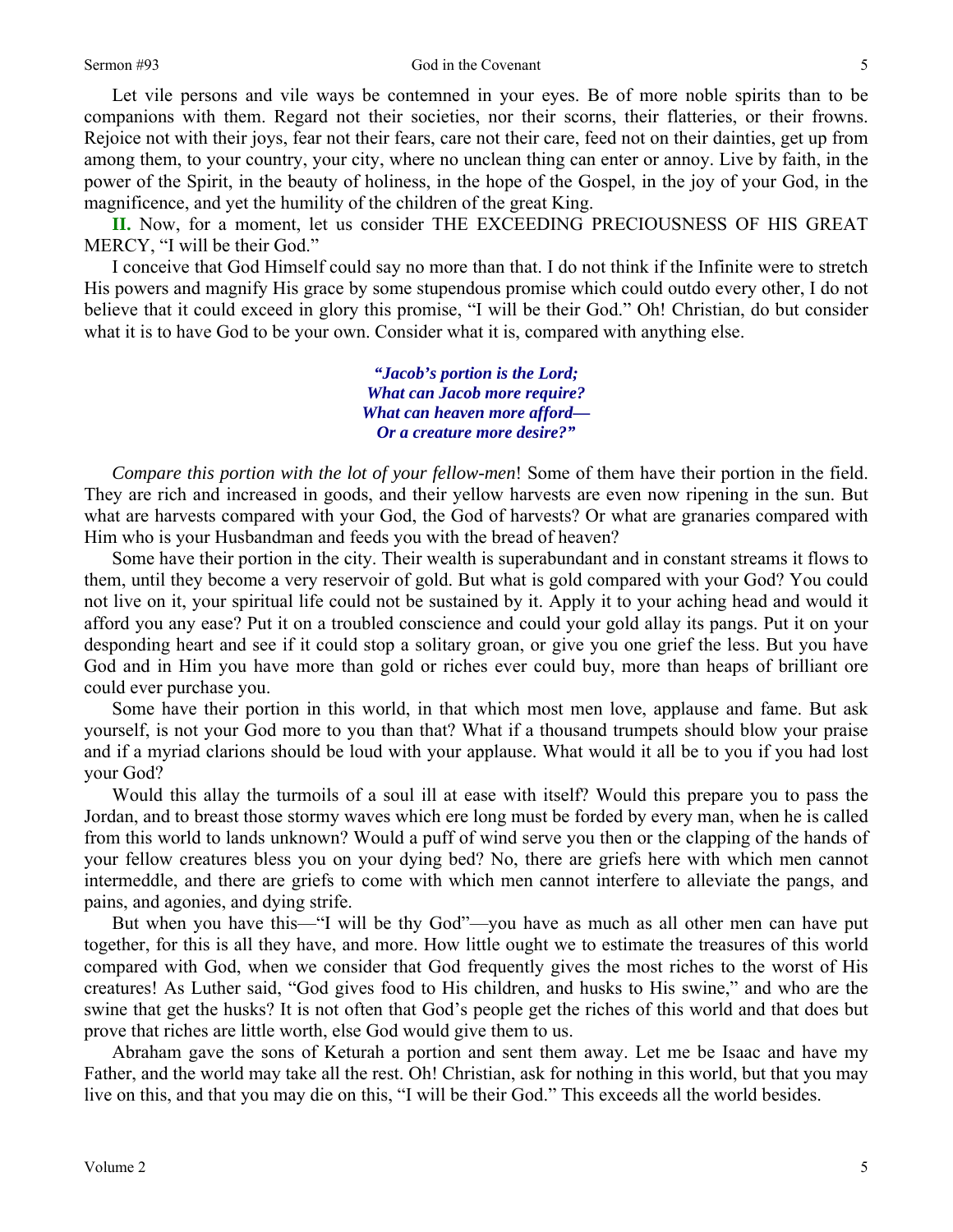Let vile persons and vile ways be contemned in your eyes. Be of more noble spirits than to be companions with them. Regard not their societies, nor their scorns, their flatteries, or their frowns. Rejoice not with their joys, fear not their fears, care not their care, feed not on their dainties, get up from among them, to your country, your city, where no unclean thing can enter or annoy. Live by faith, in the power of the Spirit, in the beauty of holiness, in the hope of the Gospel, in the joy of your God, in the magnificence, and yet the humility of the children of the great King.

**II.** Now, for a moment, let us consider THE EXCEEDING PRECIOUSNESS OF HIS GREAT MERCY, "I will be their God."

I conceive that God Himself could say no more than that. I do not think if the Infinite were to stretch His powers and magnify His grace by some stupendous promise which could outdo every other, I do not believe that it could exceed in glory this promise, "I will be their God." Oh! Christian, do but consider what it is to have God to be your own. Consider what it is, compared with anything else.

> *"Jacob's portion is the Lord; What can Jacob more require? What can heaven more afford— Or a creature more desire?"*

*Compare this portion with the lot of your fellow-men*! Some of them have their portion in the field. They are rich and increased in goods, and their yellow harvests are even now ripening in the sun. But what are harvests compared with your God, the God of harvests? Or what are granaries compared with Him who is your Husbandman and feeds you with the bread of heaven?

Some have their portion in the city. Their wealth is superabundant and in constant streams it flows to them, until they become a very reservoir of gold. But what is gold compared with your God? You could not live on it, your spiritual life could not be sustained by it. Apply it to your aching head and would it afford you any ease? Put it on a troubled conscience and could your gold allay its pangs. Put it on your desponding heart and see if it could stop a solitary groan, or give you one grief the less. But you have God and in Him you have more than gold or riches ever could buy, more than heaps of brilliant ore could ever purchase you.

Some have their portion in this world, in that which most men love, applause and fame. But ask yourself, is not your God more to you than that? What if a thousand trumpets should blow your praise and if a myriad clarions should be loud with your applause. What would it all be to you if you had lost your God?

Would this allay the turmoils of a soul ill at ease with itself? Would this prepare you to pass the Jordan, and to breast those stormy waves which ere long must be forded by every man, when he is called from this world to lands unknown? Would a puff of wind serve you then or the clapping of the hands of your fellow creatures bless you on your dying bed? No, there are griefs here with which men cannot intermeddle, and there are griefs to come with which men cannot interfere to alleviate the pangs, and pains, and agonies, and dying strife.

But when you have this—"I will be thy God"—you have as much as all other men can have put together, for this is all they have, and more. How little ought we to estimate the treasures of this world compared with God, when we consider that God frequently gives the most riches to the worst of His creatures! As Luther said, "God gives food to His children, and husks to His swine," and who are the swine that get the husks? It is not often that God's people get the riches of this world and that does but prove that riches are little worth, else God would give them to us.

Abraham gave the sons of Keturah a portion and sent them away. Let me be Isaac and have my Father, and the world may take all the rest. Oh! Christian, ask for nothing in this world, but that you may live on this, and that you may die on this, "I will be their God." This exceeds all the world besides.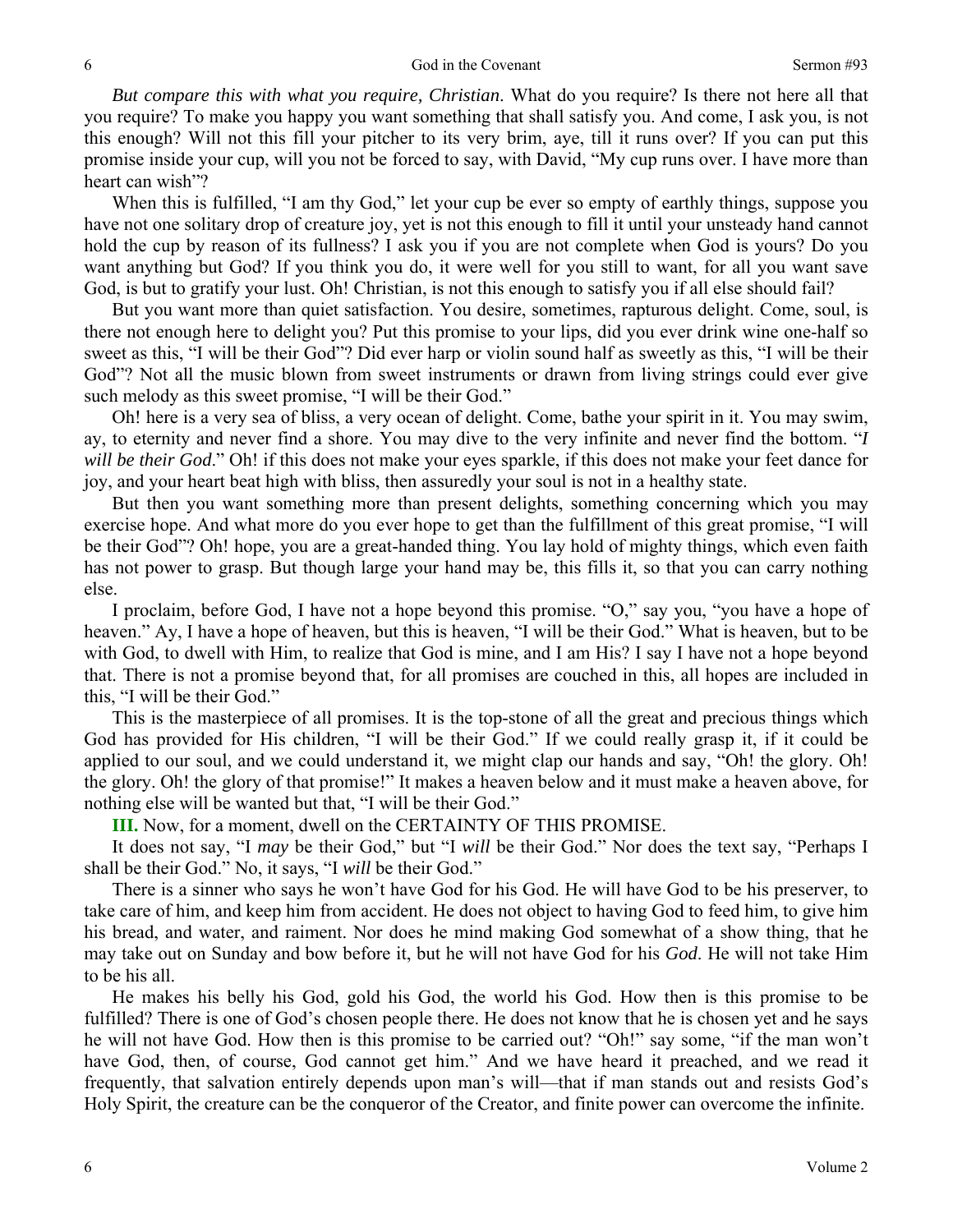*But compare this with what you require, Christian*. What do you require? Is there not here all that you require? To make you happy you want something that shall satisfy you. And come, I ask you, is not this enough? Will not this fill your pitcher to its very brim, aye, till it runs over? If you can put this promise inside your cup, will you not be forced to say, with David, "My cup runs over. I have more than heart can wish"?

When this is fulfilled, "I am thy God," let your cup be ever so empty of earthly things, suppose you have not one solitary drop of creature joy, yet is not this enough to fill it until your unsteady hand cannot hold the cup by reason of its fullness? I ask you if you are not complete when God is yours? Do you want anything but God? If you think you do, it were well for you still to want, for all you want save God, is but to gratify your lust. Oh! Christian, is not this enough to satisfy you if all else should fail?

But you want more than quiet satisfaction. You desire, sometimes, rapturous delight. Come, soul, is there not enough here to delight you? Put this promise to your lips, did you ever drink wine one-half so sweet as this, "I will be their God"? Did ever harp or violin sound half as sweetly as this, "I will be their God"? Not all the music blown from sweet instruments or drawn from living strings could ever give such melody as this sweet promise, "I will be their God."

Oh! here is a very sea of bliss, a very ocean of delight. Come, bathe your spirit in it. You may swim, ay, to eternity and never find a shore. You may dive to the very infinite and never find the bottom. "*I will be their God*." Oh! if this does not make your eyes sparkle, if this does not make your feet dance for joy, and your heart beat high with bliss, then assuredly your soul is not in a healthy state.

But then you want something more than present delights, something concerning which you may exercise hope. And what more do you ever hope to get than the fulfillment of this great promise, "I will be their God"? Oh! hope, you are a great-handed thing. You lay hold of mighty things, which even faith has not power to grasp. But though large your hand may be, this fills it, so that you can carry nothing else.

I proclaim, before God, I have not a hope beyond this promise. "O," say you, "you have a hope of heaven." Ay, I have a hope of heaven, but this is heaven, "I will be their God." What is heaven, but to be with God, to dwell with Him, to realize that God is mine, and I am His? I say I have not a hope beyond that. There is not a promise beyond that, for all promises are couched in this, all hopes are included in this, "I will be their God."

This is the masterpiece of all promises. It is the top-stone of all the great and precious things which God has provided for His children, "I will be their God." If we could really grasp it, if it could be applied to our soul, and we could understand it, we might clap our hands and say, "Oh! the glory. Oh! the glory. Oh! the glory of that promise!" It makes a heaven below and it must make a heaven above, for nothing else will be wanted but that, "I will be their God."

**III.** Now, for a moment, dwell on the CERTAINTY OF THIS PROMISE.

It does not say, "I *may* be their God," but "I *will* be their God." Nor does the text say, "Perhaps I shall be their God." No, it says, "I *will* be their God."

There is a sinner who says he won't have God for his God. He will have God to be his preserver, to take care of him, and keep him from accident. He does not object to having God to feed him, to give him his bread, and water, and raiment. Nor does he mind making God somewhat of a show thing, that he may take out on Sunday and bow before it, but he will not have God for his *God*. He will not take Him to be his all.

He makes his belly his God, gold his God, the world his God. How then is this promise to be fulfilled? There is one of God's chosen people there. He does not know that he is chosen yet and he says he will not have God. How then is this promise to be carried out? "Oh!" say some, "if the man won't have God, then, of course, God cannot get him." And we have heard it preached, and we read it frequently, that salvation entirely depends upon man's will—that if man stands out and resists God's Holy Spirit, the creature can be the conqueror of the Creator, and finite power can overcome the infinite.

6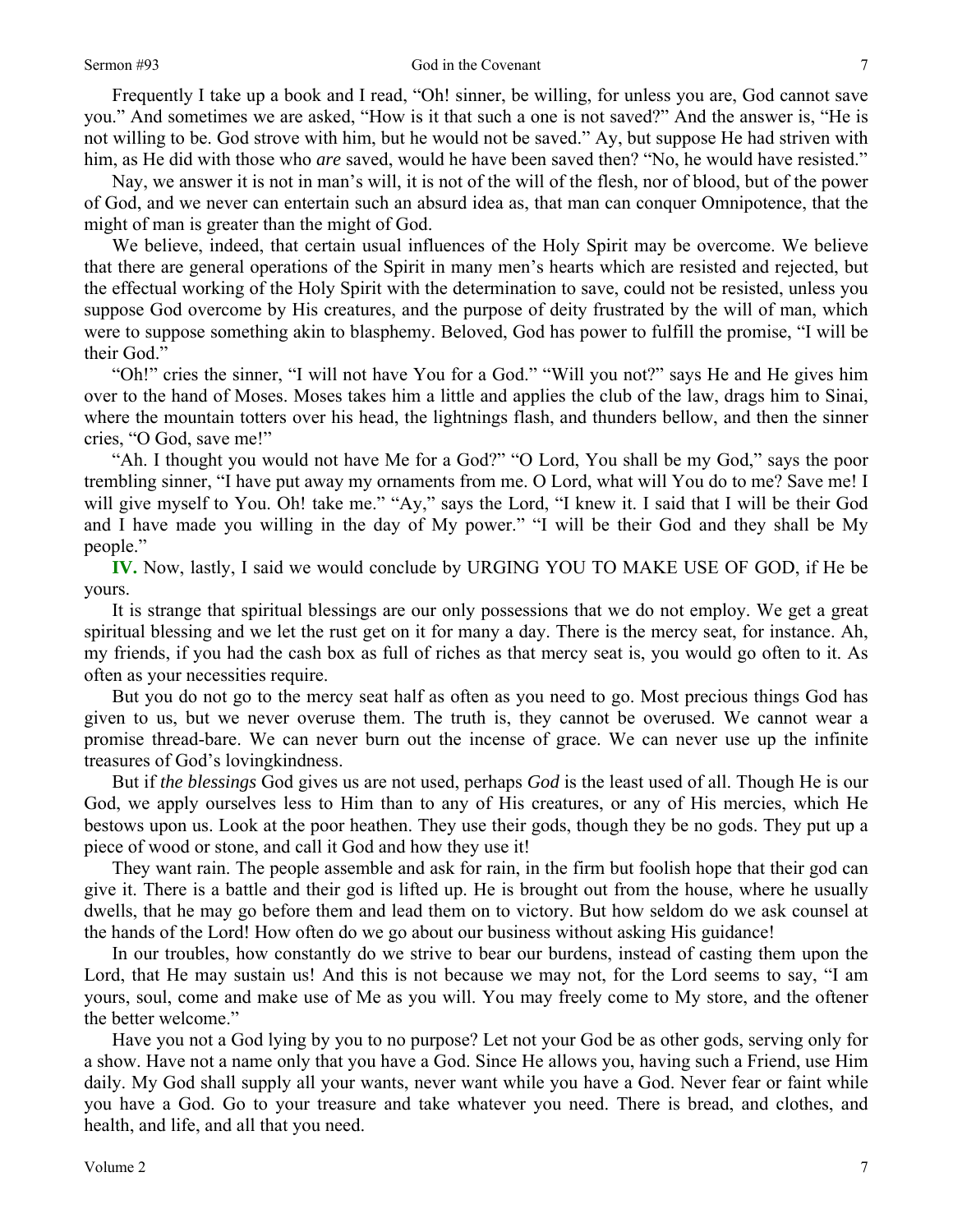#### Sermon #93 God in the Covenant

Frequently I take up a book and I read, "Oh! sinner, be willing, for unless you are, God cannot save you." And sometimes we are asked, "How is it that such a one is not saved?" And the answer is, "He is not willing to be. God strove with him, but he would not be saved." Ay, but suppose He had striven with him, as He did with those who *are* saved, would he have been saved then? "No, he would have resisted."

Nay, we answer it is not in man's will, it is not of the will of the flesh, nor of blood, but of the power of God, and we never can entertain such an absurd idea as, that man can conquer Omnipotence, that the might of man is greater than the might of God.

We believe, indeed, that certain usual influences of the Holy Spirit may be overcome. We believe that there are general operations of the Spirit in many men's hearts which are resisted and rejected, but the effectual working of the Holy Spirit with the determination to save, could not be resisted, unless you suppose God overcome by His creatures, and the purpose of deity frustrated by the will of man, which were to suppose something akin to blasphemy. Beloved, God has power to fulfill the promise, "I will be their God."

"Oh!" cries the sinner, "I will not have You for a God." "Will you not?" says He and He gives him over to the hand of Moses. Moses takes him a little and applies the club of the law, drags him to Sinai, where the mountain totters over his head, the lightnings flash, and thunders bellow, and then the sinner cries, "O God, save me!"

"Ah. I thought you would not have Me for a God?" "O Lord, You shall be my God," says the poor trembling sinner, "I have put away my ornaments from me. O Lord, what will You do to me? Save me! I will give myself to You. Oh! take me." "Ay," says the Lord, "I knew it. I said that I will be their God and I have made you willing in the day of My power." "I will be their God and they shall be My people."

**IV.** Now, lastly, I said we would conclude by URGING YOU TO MAKE USE OF GOD, if He be yours.

It is strange that spiritual blessings are our only possessions that we do not employ. We get a great spiritual blessing and we let the rust get on it for many a day. There is the mercy seat, for instance. Ah, my friends, if you had the cash box as full of riches as that mercy seat is, you would go often to it. As often as your necessities require.

But you do not go to the mercy seat half as often as you need to go. Most precious things God has given to us, but we never overuse them. The truth is, they cannot be overused. We cannot wear a promise thread-bare. We can never burn out the incense of grace. We can never use up the infinite treasures of God's lovingkindness.

But if *the blessings* God gives us are not used, perhaps *God* is the least used of all. Though He is our God, we apply ourselves less to Him than to any of His creatures, or any of His mercies, which He bestows upon us. Look at the poor heathen. They use their gods, though they be no gods. They put up a piece of wood or stone, and call it God and how they use it!

They want rain. The people assemble and ask for rain, in the firm but foolish hope that their god can give it. There is a battle and their god is lifted up. He is brought out from the house, where he usually dwells, that he may go before them and lead them on to victory. But how seldom do we ask counsel at the hands of the Lord! How often do we go about our business without asking His guidance!

In our troubles, how constantly do we strive to bear our burdens, instead of casting them upon the Lord, that He may sustain us! And this is not because we may not, for the Lord seems to say, "I am yours, soul, come and make use of Me as you will. You may freely come to My store, and the oftener the better welcome."

Have you not a God lying by you to no purpose? Let not your God be as other gods, serving only for a show. Have not a name only that you have a God. Since He allows you, having such a Friend, use Him daily. My God shall supply all your wants, never want while you have a God. Never fear or faint while you have a God. Go to your treasure and take whatever you need. There is bread, and clothes, and health, and life, and all that you need.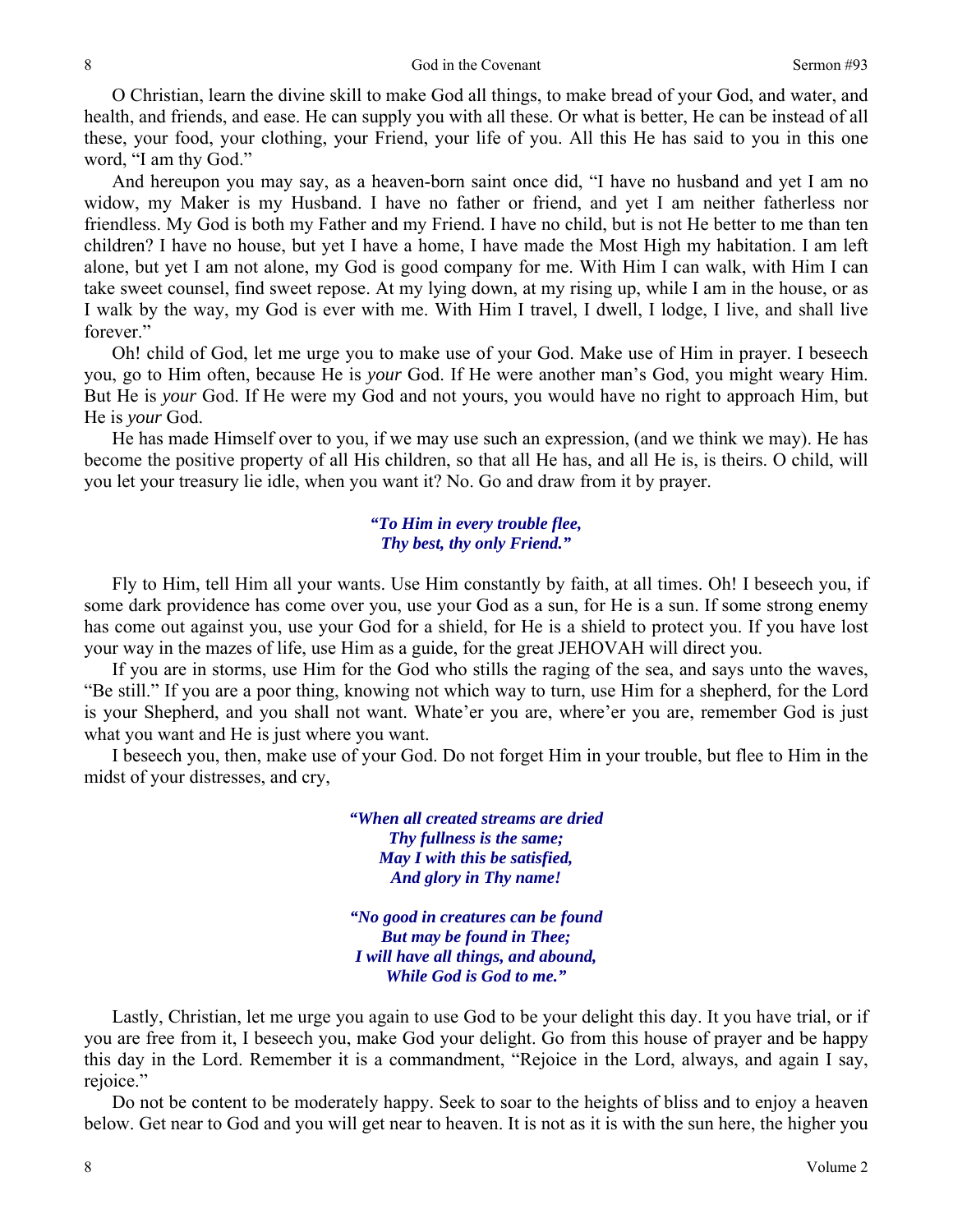O Christian, learn the divine skill to make God all things, to make bread of your God, and water, and health, and friends, and ease. He can supply you with all these. Or what is better, He can be instead of all these, your food, your clothing, your Friend, your life of you. All this He has said to you in this one word, "I am thy God."

And hereupon you may say, as a heaven-born saint once did, "I have no husband and yet I am no widow, my Maker is my Husband. I have no father or friend, and yet I am neither fatherless nor friendless. My God is both my Father and my Friend. I have no child, but is not He better to me than ten children? I have no house, but yet I have a home, I have made the Most High my habitation. I am left alone, but yet I am not alone, my God is good company for me. With Him I can walk, with Him I can take sweet counsel, find sweet repose. At my lying down, at my rising up, while I am in the house, or as I walk by the way, my God is ever with me. With Him I travel, I dwell, I lodge, I live, and shall live forever."

Oh! child of God, let me urge you to make use of your God. Make use of Him in prayer. I beseech you, go to Him often, because He is *your* God. If He were another man's God, you might weary Him. But He is *your* God. If He were my God and not yours, you would have no right to approach Him, but He is *your* God.

He has made Himself over to you, if we may use such an expression, (and we think we may). He has become the positive property of all His children, so that all He has, and all He is, is theirs. O child, will you let your treasury lie idle, when you want it? No. Go and draw from it by prayer.

#### *"To Him in every trouble flee, Thy best, thy only Friend."*

Fly to Him, tell Him all your wants. Use Him constantly by faith, at all times. Oh! I beseech you, if some dark providence has come over you, use your God as a sun, for He is a sun. If some strong enemy has come out against you, use your God for a shield, for He is a shield to protect you. If you have lost your way in the mazes of life, use Him as a guide, for the great JEHOVAH will direct you.

If you are in storms, use Him for the God who stills the raging of the sea, and says unto the waves, "Be still." If you are a poor thing, knowing not which way to turn, use Him for a shepherd, for the Lord is your Shepherd, and you shall not want. Whate'er you are, where'er you are, remember God is just what you want and He is just where you want.

I beseech you, then, make use of your God. Do not forget Him in your trouble, but flee to Him in the midst of your distresses, and cry,

> *"When all created streams are dried Thy fullness is the same; May I with this be satisfied, And glory in Thy name!*

*"No good in creatures can be found But may be found in Thee; I will have all things, and abound, While God is God to me."* 

Lastly, Christian, let me urge you again to use God to be your delight this day. It you have trial, or if you are free from it, I beseech you, make God your delight. Go from this house of prayer and be happy this day in the Lord. Remember it is a commandment, "Rejoice in the Lord, always, and again I say, rejoice."

Do not be content to be moderately happy. Seek to soar to the heights of bliss and to enjoy a heaven below. Get near to God and you will get near to heaven. It is not as it is with the sun here, the higher you